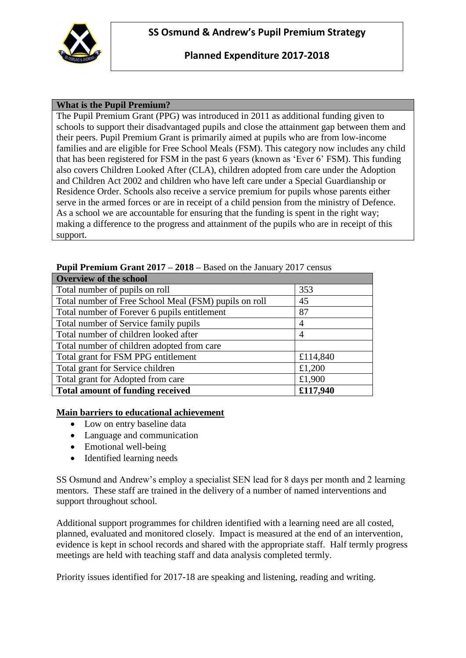

# **Planned Expenditure 2017-2018**

## **What is the Pupil Premium?**

The Pupil Premium Grant (PPG) was introduced in 2011 as additional funding given to schools to support their disadvantaged pupils and close the attainment gap between them and their peers. Pupil Premium Grant is primarily aimed at pupils who are from low-income families and are eligible for Free School Meals (FSM). This category now includes any child that has been registered for FSM in the past 6 years (known as 'Ever 6' FSM). This funding also covers Children Looked After (CLA), children adopted from care under the Adoption and Children Act 2002 and children who have left care under a Special Guardianship or Residence Order. Schools also receive a service premium for pupils whose parents either serve in the armed forces or are in receipt of a child pension from the ministry of Defence. As a school we are accountable for ensuring that the funding is spent in the right way; making a difference to the progress and attainment of the pupils who are in receipt of this support.

| <b>Overview of the school</b>                         |          |  |  |
|-------------------------------------------------------|----------|--|--|
| Total number of pupils on roll                        | 353      |  |  |
| Total number of Free School Meal (FSM) pupils on roll | 45       |  |  |
| Total number of Forever 6 pupils entitlement          | 87       |  |  |
| Total number of Service family pupils                 | 4        |  |  |
| Total number of children looked after                 | 4        |  |  |
| Total number of children adopted from care            |          |  |  |
| Total grant for FSM PPG entitlement                   | £114,840 |  |  |
| Total grant for Service children                      | £1,200   |  |  |
| Total grant for Adopted from care                     | £1,900   |  |  |
| <b>Total amount of funding received</b>               | £117,940 |  |  |

### **Pupil Premium Grant 2017 – 2018 –** Based on the January 2017 census

#### **Main barriers to educational achievement**

- Low on entry baseline data
- Language and communication
- Emotional well-being
- Identified learning needs

SS Osmund and Andrew's employ a specialist SEN lead for 8 days per month and 2 learning mentors. These staff are trained in the delivery of a number of named interventions and support throughout school.

Additional support programmes for children identified with a learning need are all costed, planned, evaluated and monitored closely. Impact is measured at the end of an intervention, evidence is kept in school records and shared with the appropriate staff. Half termly progress meetings are held with teaching staff and data analysis completed termly.

Priority issues identified for 2017-18 are speaking and listening, reading and writing.